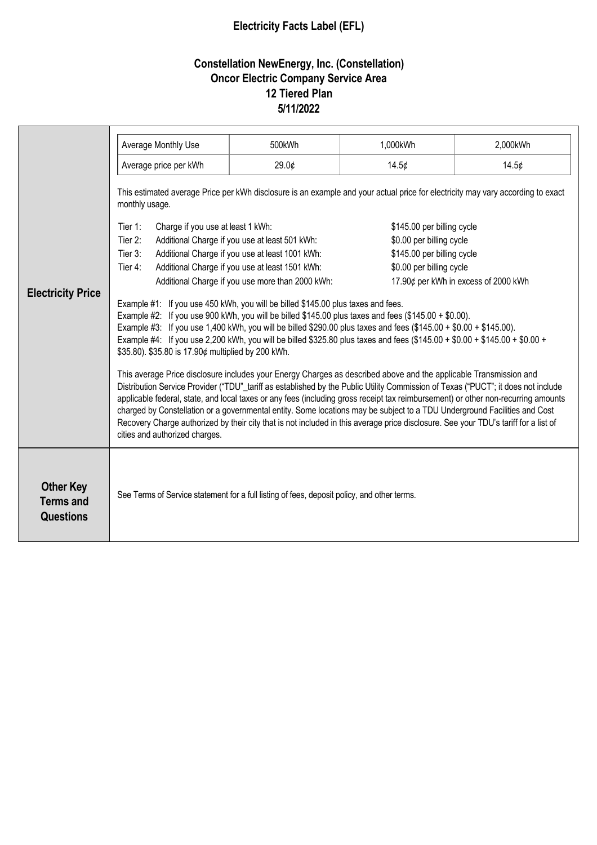## **Electricity Facts Label (EFL)**

## **Constellation NewEnergy, Inc. (Constellation) Oncor Electric Company Service Area 12 Tiered Plan 5/11/2022**

|                                                   | Average Monthly Use                                                                                                                                                                                                                                                                                                                                                                                                                                                                                                                                                                                                                                                                                                                                                                                                                                                                                                                                                                                                                                                                                                                                                                                              | 500kWh | 1,000kWh                                                                                                                                                                                                                                                                                      | 2,000kWh |  |
|---------------------------------------------------|------------------------------------------------------------------------------------------------------------------------------------------------------------------------------------------------------------------------------------------------------------------------------------------------------------------------------------------------------------------------------------------------------------------------------------------------------------------------------------------------------------------------------------------------------------------------------------------------------------------------------------------------------------------------------------------------------------------------------------------------------------------------------------------------------------------------------------------------------------------------------------------------------------------------------------------------------------------------------------------------------------------------------------------------------------------------------------------------------------------------------------------------------------------------------------------------------------------|--------|-----------------------------------------------------------------------------------------------------------------------------------------------------------------------------------------------------------------------------------------------------------------------------------------------|----------|--|
|                                                   | Average price per kWh                                                                                                                                                                                                                                                                                                                                                                                                                                                                                                                                                                                                                                                                                                                                                                                                                                                                                                                                                                                                                                                                                                                                                                                            | 29.0¢  | 14.5¢                                                                                                                                                                                                                                                                                         | 14.5¢    |  |
| <b>Electricity Price</b>                          | This estimated average Price per kWh disclosure is an example and your actual price for electricity may vary according to exact<br>monthly usage.<br>Tier 1:<br>Charge if you use at least 1 kWh:<br>Tier 2:<br>Additional Charge if you use at least 501 kWh:<br>Tier 3:<br>Additional Charge if you use at least 1001 kWh:<br>Tier 4:<br>Additional Charge if you use at least 1501 kWh:<br>Additional Charge if you use more than 2000 kWh:<br>Example #1: If you use 450 kWh, you will be billed \$145.00 plus taxes and fees.<br>Example #2: If you use 900 kWh, you will be billed $$145.00$ plus taxes and fees ( $$145.00 + $0.00$ ).<br>Example #3: If you use 1,400 kWh, you will be billed \$290.00 plus taxes and fees (\$145.00 + \$0.00 + \$145.00).<br>Example #4: If you use 2,200 kWh, you will be billed \$325.80 plus taxes and fees (\$145.00 + \$0.00 + \$145.00 + \$0.00 +<br>\$35.80). \$35.80 is 17.90¢ multiplied by 200 kWh.<br>This average Price disclosure includes your Energy Charges as described above and the applicable Transmission and<br>Distribution Service Provider ("TDU"_tariff as established by the Public Utility Commission of Texas ("PUCT"; it does not include |        | \$145.00 per billing cycle<br>\$0.00 per billing cycle<br>\$145.00 per billing cycle<br>\$0.00 per billing cycle<br>17.90¢ per kWh in excess of 2000 kWh<br>applicable federal, state, and local taxes or any fees (including gross receipt tax reimbursement) or other non-recurring amounts |          |  |
|                                                   | charged by Constellation or a governmental entity. Some locations may be subject to a TDU Underground Facilities and Cost<br>Recovery Charge authorized by their city that is not included in this average price disclosure. See your TDU's tariff for a list of<br>cities and authorized charges.                                                                                                                                                                                                                                                                                                                                                                                                                                                                                                                                                                                                                                                                                                                                                                                                                                                                                                               |        |                                                                                                                                                                                                                                                                                               |          |  |
| <b>Other Key</b><br><b>Terms and</b><br>Questions | See Terms of Service statement for a full listing of fees, deposit policy, and other terms.                                                                                                                                                                                                                                                                                                                                                                                                                                                                                                                                                                                                                                                                                                                                                                                                                                                                                                                                                                                                                                                                                                                      |        |                                                                                                                                                                                                                                                                                               |          |  |